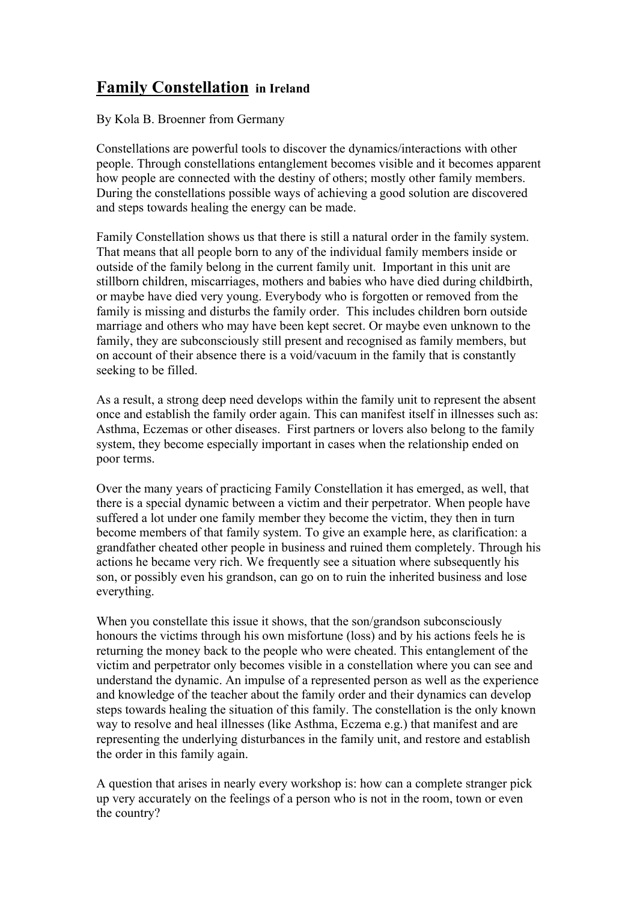## **Family Constellation in Ireland**

By Kola B. Broenner from Germany

Constellations are powerful tools to discover the dynamics/interactions with other people. Through constellations entanglement becomes visible and it becomes apparent how people are connected with the destiny of others; mostly other family members. During the constellations possible ways of achieving a good solution are discovered and steps towards healing the energy can be made.

Family Constellation shows us that there is still a natural order in the family system. That means that all people born to any of the individual family members inside or outside of the family belong in the current family unit. Important in this unit are stillborn children, miscarriages, mothers and babies who have died during childbirth, or maybe have died very young. Everybody who is forgotten or removed from the family is missing and disturbs the family order. This includes children born outside marriage and others who may have been kept secret. Or maybe even unknown to the family, they are subconsciously still present and recognised as family members, but on account of their absence there is a void/vacuum in the family that is constantly seeking to be filled.

As a result, a strong deep need develops within the family unit to represent the absent once and establish the family order again. This can manifest itself in illnesses such as: Asthma, Eczemas or other diseases. First partners or lovers also belong to the family system, they become especially important in cases when the relationship ended on poor terms.

Over the many years of practicing Family Constellation it has emerged, as well, that there is a special dynamic between a victim and their perpetrator. When people have suffered a lot under one family member they become the victim, they then in turn become members of that family system. To give an example here, as clarification: a grandfather cheated other people in business and ruined them completely. Through his actions he became very rich. We frequently see a situation where subsequently his son, or possibly even his grandson, can go on to ruin the inherited business and lose everything.

When you constellate this issue it shows, that the son/grandson subconsciously honours the victims through his own misfortune (loss) and by his actions feels he is returning the money back to the people who were cheated. This entanglement of the victim and perpetrator only becomes visible in a constellation where you can see and understand the dynamic. An impulse of a represented person as well as the experience and knowledge of the teacher about the family order and their dynamics can develop steps towards healing the situation of this family. The constellation is the only known way to resolve and heal illnesses (like Asthma, Eczema e.g.) that manifest and are representing the underlying disturbances in the family unit, and restore and establish the order in this family again.

A question that arises in nearly every workshop is: how can a complete stranger pick up very accurately on the feelings of a person who is not in the room, town or even the country?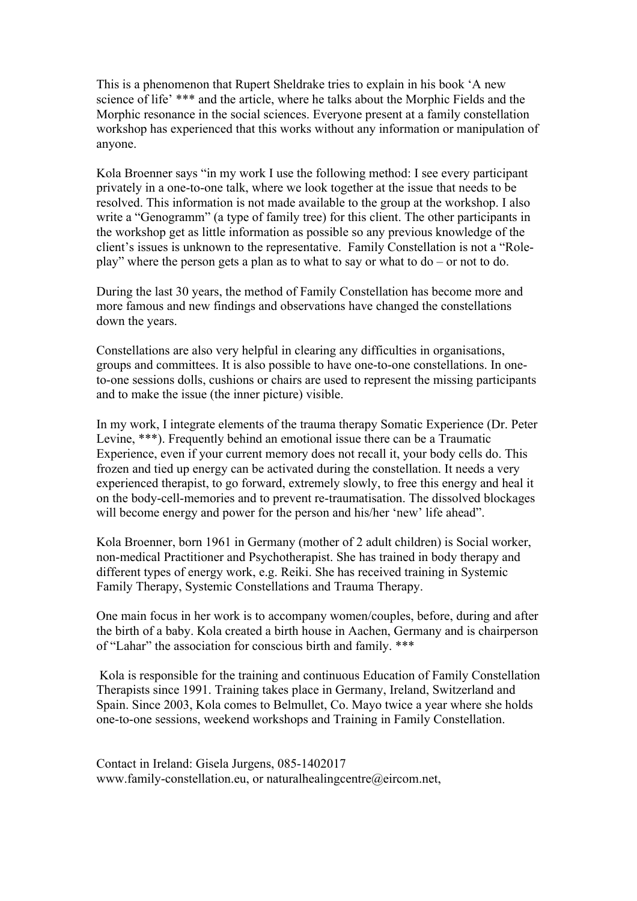This is a phenomenon that Rupert Sheldrake tries to explain in his book 'A new science of life' \*\*\* and the article, where he talks about the Morphic Fields and the Morphic resonance in the social sciences. Everyone present at a family constellation workshop has experienced that this works without any information or manipulation of anyone.

Kola Broenner says "in my work I use the following method: I see every participant privately in a one-to-one talk, where we look together at the issue that needs to be resolved. This information is not made available to the group at the workshop. I also write a "Genogramm" (a type of family tree) for this client. The other participants in the workshop get as little information as possible so any previous knowledge of the client's issues is unknown to the representative. Family Constellation is not a "Roleplay" where the person gets a plan as to what to say or what to do – or not to do.

During the last 30 years, the method of Family Constellation has become more and more famous and new findings and observations have changed the constellations down the years.

Constellations are also very helpful in clearing any difficulties in organisations, groups and committees. It is also possible to have one-to-one constellations. In oneto-one sessions dolls, cushions or chairs are used to represent the missing participants and to make the issue (the inner picture) visible.

In my work, I integrate elements of the trauma therapy Somatic Experience (Dr. Peter Levine, \*\*\*). Frequently behind an emotional issue there can be a Traumatic Experience, even if your current memory does not recall it, your body cells do. This frozen and tied up energy can be activated during the constellation. It needs a very experienced therapist, to go forward, extremely slowly, to free this energy and heal it on the body-cell-memories and to prevent re-traumatisation. The dissolved blockages will become energy and power for the person and his/her 'new' life ahead".

Kola Broenner, born 1961 in Germany (mother of 2 adult children) is Social worker, non-medical Practitioner and Psychotherapist. She has trained in body therapy and different types of energy work, e.g. Reiki. She has received training in Systemic Family Therapy, Systemic Constellations and Trauma Therapy.

One main focus in her work is to accompany women/couples, before, during and after the birth of a baby. Kola created a birth house in Aachen, Germany and is chairperson of "Lahar" the association for conscious birth and family. \*\*\*

 Kola is responsible for the training and continuous Education of Family Constellation Therapists since 1991. Training takes place in Germany, Ireland, Switzerland and Spain. Since 2003, Kola comes to Belmullet, Co. Mayo twice a year where she holds one-to-one sessions, weekend workshops and Training in Family Constellation.

Contact in Ireland: Gisela Jurgens, 085-1402017 www.family-constellation.eu, or naturalhealingcentre@eircom.net,